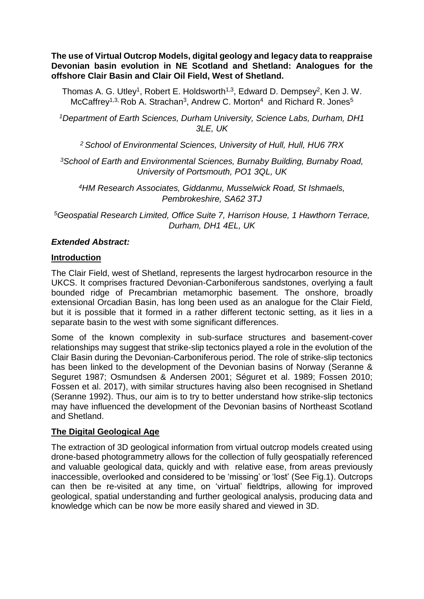**The use of Virtual Outcrop Models, digital geology and legacy data to reappraise Devonian basin evolution in NE Scotland and Shetland: Analogues for the offshore Clair Basin and Clair Oil Field, West of Shetland.**

Thomas A. G. Utley<sup>1</sup>, Robert E. Holdsworth<sup>1,3</sup>, Edward D. Dempsey<sup>2</sup>, Ken J. W. McCaffrey<sup>1,3,</sup> Rob A. Strachan<sup>3</sup>, Andrew C. Morton<sup>4</sup> and Richard R. Jones<sup>5</sup>

*<sup>1</sup>Department of Earth Sciences, Durham University, Science Labs, Durham, DH1 3LE, UK*

*<sup>2</sup>School of Environmental Sciences, University of Hull, Hull, HU6 7RX*

*<sup>3</sup>School of Earth and Environmental Sciences, Burnaby Building, Burnaby Road, University of Portsmouth, PO1 3QL, UK*

*<sup>4</sup>HM Research Associates, Giddanmu, Musselwick Road, St Ishmaels, Pembrokeshire, SA62 3TJ*

*<sup>5</sup>Geospatial Research Limited, Office Suite 7, Harrison House, 1 Hawthorn Terrace, Durham, DH1 4EL, UK*

# *Extended Abstract:*

### **Introduction**

The Clair Field, west of Shetland, represents the largest hydrocarbon resource in the UKCS. It comprises fractured Devonian-Carboniferous sandstones, overlying a fault bounded ridge of Precambrian metamorphic basement. The onshore, broadly extensional Orcadian Basin, has long been used as an analogue for the Clair Field, but it is possible that it formed in a rather different tectonic setting, as it lies in a separate basin to the west with some significant differences.

Some of the known complexity in sub-surface structures and basement-cover relationships may suggest that strike-slip tectonics played a role in the evolution of the Clair Basin during the Devonian-Carboniferous period. The role of strike-slip tectonics has been linked to the development of the Devonian basins of Norway (Seranne & Seguret 1987; Osmundsen & Andersen 2001; Séguret et al. 1989; Fossen 2010; Fossen et al. 2017), with similar structures having also been recognised in Shetland (Seranne 1992). Thus, our aim is to try to better understand how strike-slip tectonics may have influenced the development of the Devonian basins of Northeast Scotland and Shetland.

### **The Digital Geological Age**

The extraction of 3D geological information from virtual outcrop models created using drone-based photogrammetry allows for the collection of fully geospatially referenced and valuable geological data, quickly and with relative ease, from areas previously inaccessible, overlooked and considered to be 'missing' or 'lost' (See Fig.1). Outcrops can then be re-visited at any time, on 'virtual' fieldtrips, allowing for improved geological, spatial understanding and further geological analysis, producing data and knowledge which can be now be more easily shared and viewed in 3D.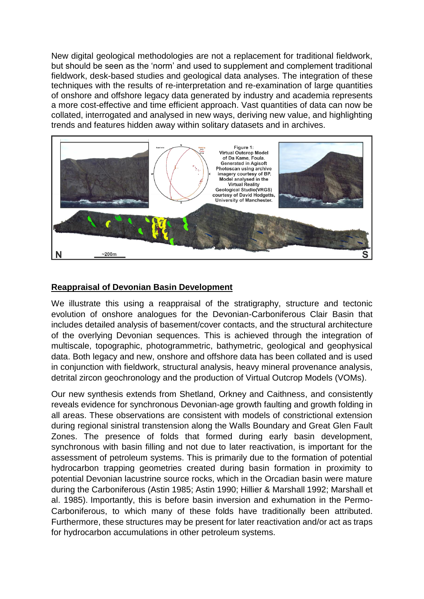New digital geological methodologies are not a replacement for traditional fieldwork, but should be seen as the 'norm' and used to supplement and complement traditional fieldwork, desk-based studies and geological data analyses. The integration of these techniques with the results of re-interpretation and re-examination of large quantities of onshore and offshore legacy data generated by industry and academia represents a more cost-effective and time efficient approach. Vast quantities of data can now be collated, interrogated and analysed in new ways, deriving new value, and highlighting trends and features hidden away within solitary datasets and in archives.



## **Reappraisal of Devonian Basin Development**

We illustrate this using a reappraisal of the stratigraphy, structure and tectonic evolution of onshore analogues for the Devonian-Carboniferous Clair Basin that includes detailed analysis of basement/cover contacts, and the structural architecture of the overlying Devonian sequences. This is achieved through the integration of multiscale, topographic, photogrammetric, bathymetric, geological and geophysical data. Both legacy and new, onshore and offshore data has been collated and is used in conjunction with fieldwork, structural analysis, heavy mineral provenance analysis, detrital zircon geochronology and the production of Virtual Outcrop Models (VOMs).

Our new synthesis extends from Shetland, Orkney and Caithness, and consistently reveals evidence for synchronous Devonian-age growth faulting and growth folding in all areas. These observations are consistent with models of constrictional extension during regional sinistral transtension along the Walls Boundary and Great Glen Fault Zones. The presence of folds that formed during early basin development, synchronous with basin filling and not due to later reactivation, is important for the assessment of petroleum systems. This is primarily due to the formation of potential hydrocarbon trapping geometries created during basin formation in proximity to potential Devonian lacustrine source rocks, which in the Orcadian basin were mature during the Carboniferous (Astin 1985; Astin 1990; Hillier & Marshall 1992; Marshall et al. 1985). Importantly, this is before basin inversion and exhumation in the Permo-Carboniferous, to which many of these folds have traditionally been attributed. Furthermore, these structures may be present for later reactivation and/or act as traps for hydrocarbon accumulations in other petroleum systems.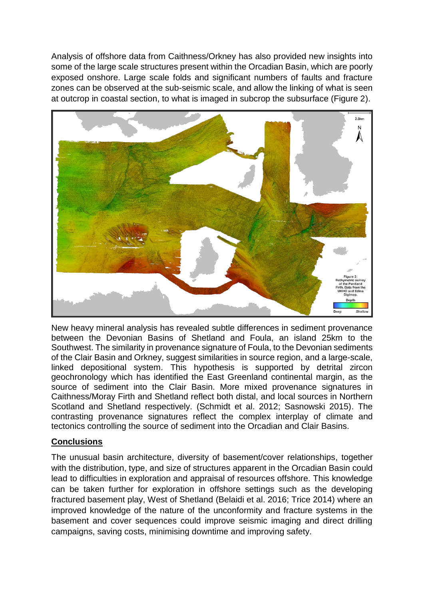Analysis of offshore data from Caithness/Orkney has also provided new insights into some of the large scale structures present within the Orcadian Basin, which are poorly exposed onshore. Large scale folds and significant numbers of faults and fracture zones can be observed at the sub-seismic scale, and allow the linking of what is seen at outcrop in coastal section, to what is imaged in subcrop the subsurface (Figure 2).



New heavy mineral analysis has revealed subtle differences in sediment provenance between the Devonian Basins of Shetland and Foula, an island 25km to the Southwest. The similarity in provenance signature of Foula, to the Devonian sediments of the Clair Basin and Orkney, suggest similarities in source region, and a large-scale, linked depositional system. This hypothesis is supported by detrital zircon geochronology which has identified the East Greenland continental margin, as the source of sediment into the Clair Basin. More mixed provenance signatures in Caithness/Moray Firth and Shetland reflect both distal, and local sources in Northern Scotland and Shetland respectively. (Schmidt et al. 2012; Sasnowski 2015). The contrasting provenance signatures reflect the complex interplay of climate and tectonics controlling the source of sediment into the Orcadian and Clair Basins.

# **Conclusions**

The unusual basin architecture, diversity of basement/cover relationships, together with the distribution, type, and size of structures apparent in the Orcadian Basin could lead to difficulties in exploration and appraisal of resources offshore. This knowledge can be taken further for exploration in offshore settings such as the developing fractured basement play, West of Shetland (Belaidi et al. 2016; Trice 2014) where an improved knowledge of the nature of the unconformity and fracture systems in the basement and cover sequences could improve seismic imaging and direct drilling campaigns, saving costs, minimising downtime and improving safety.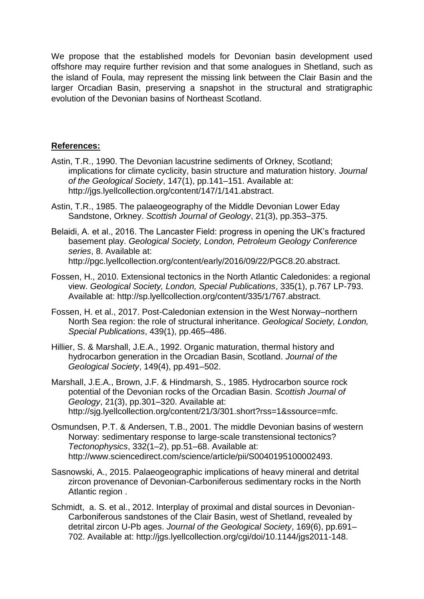We propose that the established models for Devonian basin development used offshore may require further revision and that some analogues in Shetland, such as the island of Foula, may represent the missing link between the Clair Basin and the larger Orcadian Basin, preserving a snapshot in the structural and stratigraphic evolution of the Devonian basins of Northeast Scotland.

## **References:**

- Astin, T.R., 1990. The Devonian lacustrine sediments of Orkney, Scotland; implications for climate cyclicity, basin structure and maturation history. *Journal of the Geological Society*, 147(1), pp.141–151. Available at: http://jgs.lyellcollection.org/content/147/1/141.abstract.
- Astin, T.R., 1985. The palaeogeography of the Middle Devonian Lower Eday Sandstone, Orkney. *Scottish Journal of Geology*, 21(3), pp.353–375.
- Belaidi, A. et al., 2016. The Lancaster Field: progress in opening the UK's fractured basement play. *Geological Society, London, Petroleum Geology Conference series*, 8. Available at: http://pgc.lyellcollection.org/content/early/2016/09/22/PGC8.20.abstract.
- Fossen, H., 2010. Extensional tectonics in the North Atlantic Caledonides: a regional view. *Geological Society, London, Special Publications*, 335(1), p.767 LP-793. Available at: http://sp.lyellcollection.org/content/335/1/767.abstract.
- Fossen, H. et al., 2017. Post-Caledonian extension in the West Norway–northern North Sea region: the role of structural inheritance. *Geological Society, London, Special Publications*, 439(1), pp.465–486.
- Hillier, S. & Marshall, J.E.A., 1992. Organic maturation, thermal history and hydrocarbon generation in the Orcadian Basin, Scotland. *Journal of the Geological Society*, 149(4), pp.491–502.
- Marshall, J.E.A., Brown, J.F. & Hindmarsh, S., 1985. Hydrocarbon source rock potential of the Devonian rocks of the Orcadian Basin. *Scottish Journal of Geology*, 21(3), pp.301–320. Available at: http://sjg.lyellcollection.org/content/21/3/301.short?rss=1&ssource=mfc.
- Osmundsen, P.T. & Andersen, T.B., 2001. The middle Devonian basins of western Norway: sedimentary response to large-scale transtensional tectonics? *Tectonophysics*, 332(1–2), pp.51–68. Available at: http://www.sciencedirect.com/science/article/pii/S0040195100002493.
- Sasnowski, A., 2015. Palaeogeographic implications of heavy mineral and detrital zircon provenance of Devonian-Carboniferous sedimentary rocks in the North Atlantic region .
- Schmidt, a. S. et al., 2012. Interplay of proximal and distal sources in Devonian-Carboniferous sandstones of the Clair Basin, west of Shetland, revealed by detrital zircon U-Pb ages. *Journal of the Geological Society*, 169(6), pp.691– 702. Available at: http://jgs.lyellcollection.org/cgi/doi/10.1144/jgs2011-148.